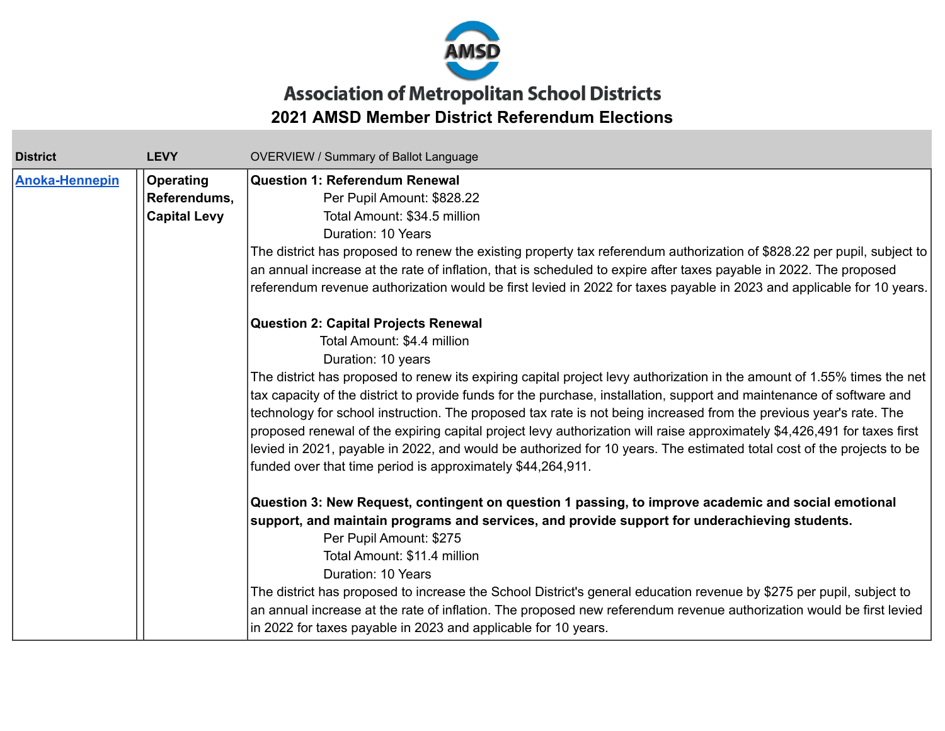

## **Association of Metropolitan School Districts 2021 AMSD Member District Referendum Elections**

| <b>District</b>       | <b>LEVY</b>         | <b>OVERVIEW / Summary of Ballot Language</b>                                                                             |
|-----------------------|---------------------|--------------------------------------------------------------------------------------------------------------------------|
| <b>Anoka-Hennepin</b> | <b>Operating</b>    | <b>Question 1: Referendum Renewal</b>                                                                                    |
|                       | Referendums,        | Per Pupil Amount: \$828.22                                                                                               |
|                       | <b>Capital Levy</b> | Total Amount: \$34.5 million                                                                                             |
|                       |                     | Duration: 10 Years                                                                                                       |
|                       |                     | The district has proposed to renew the existing property tax referendum authorization of \$828.22 per pupil, subject to  |
|                       |                     | an annual increase at the rate of inflation, that is scheduled to expire after taxes payable in 2022. The proposed       |
|                       |                     | referendum revenue authorization would be first levied in 2022 for taxes payable in 2023 and applicable for 10 years.    |
|                       |                     | <b>Question 2: Capital Projects Renewal</b>                                                                              |
|                       |                     | Total Amount: \$4.4 million                                                                                              |
|                       |                     | Duration: 10 years                                                                                                       |
|                       |                     | The district has proposed to renew its expiring capital project levy authorization in the amount of 1.55% times the net  |
|                       |                     | tax capacity of the district to provide funds for the purchase, installation, support and maintenance of software and    |
|                       |                     | technology for school instruction. The proposed tax rate is not being increased from the previous year's rate. The       |
|                       |                     | proposed renewal of the expiring capital project levy authorization will raise approximately \$4,426,491 for taxes first |
|                       |                     | levied in 2021, payable in 2022, and would be authorized for 10 years. The estimated total cost of the projects to be    |
|                       |                     | funded over that time period is approximately \$44,264,911.                                                              |
|                       |                     | Question 3: New Request, contingent on question 1 passing, to improve academic and social emotional                      |
|                       |                     | support, and maintain programs and services, and provide support for underachieving students.                            |
|                       |                     | Per Pupil Amount: \$275                                                                                                  |
|                       |                     | Total Amount: \$11.4 million                                                                                             |
|                       |                     | Duration: 10 Years                                                                                                       |
|                       |                     | The district has proposed to increase the School District's general education revenue by \$275 per pupil, subject to     |
|                       |                     | an annual increase at the rate of inflation. The proposed new referendum revenue authorization would be first levied     |
|                       |                     | in 2022 for taxes payable in 2023 and applicable for 10 years.                                                           |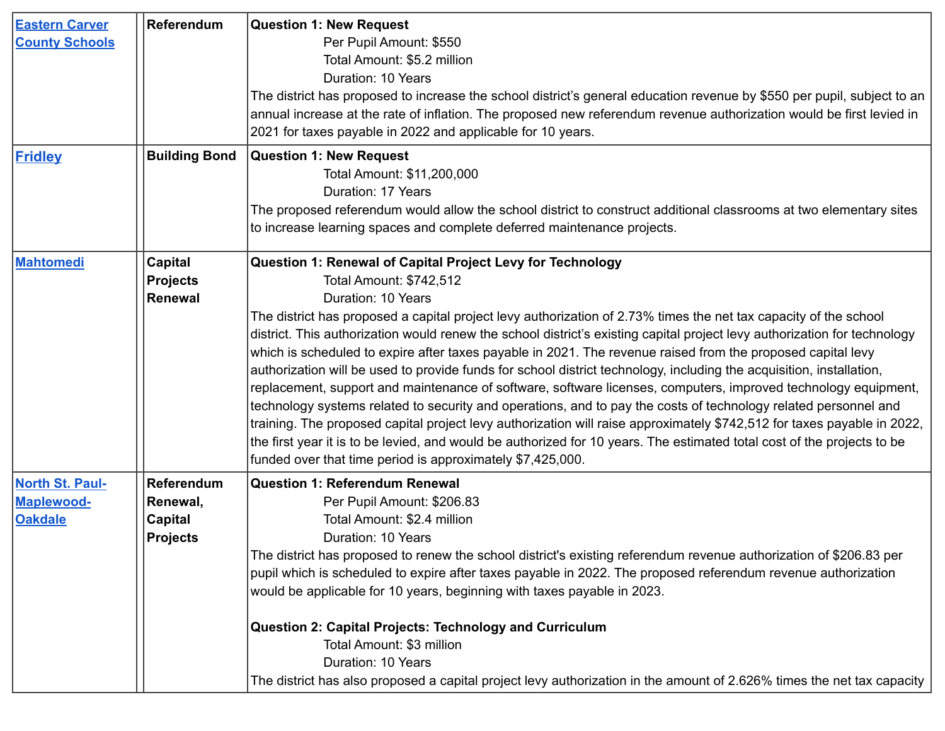| <b>Eastern Carver</b><br><b>County Schools</b><br><b>Fridley</b> | Referendum<br><b>Building Bond</b>                          | <b>Question 1: New Request</b><br>Per Pupil Amount: \$550<br>Total Amount: \$5.2 million<br>Duration: 10 Years<br>The district has proposed to increase the school district's general education revenue by \$550 per pupil, subject to an<br>annual increase at the rate of inflation. The proposed new referendum revenue authorization would be first levied in<br>2021 for taxes payable in 2022 and applicable for 10 years.<br><b>Question 1: New Request</b><br>Total Amount: \$11,200,000<br>Duration: 17 Years                                                                                                                                                                                                                                                                                                                                                                                                                                                                                                                                                                                                                                       |
|------------------------------------------------------------------|-------------------------------------------------------------|--------------------------------------------------------------------------------------------------------------------------------------------------------------------------------------------------------------------------------------------------------------------------------------------------------------------------------------------------------------------------------------------------------------------------------------------------------------------------------------------------------------------------------------------------------------------------------------------------------------------------------------------------------------------------------------------------------------------------------------------------------------------------------------------------------------------------------------------------------------------------------------------------------------------------------------------------------------------------------------------------------------------------------------------------------------------------------------------------------------------------------------------------------------|
|                                                                  |                                                             | The proposed referendum would allow the school district to construct additional classrooms at two elementary sites<br>to increase learning spaces and complete deferred maintenance projects.                                                                                                                                                                                                                                                                                                                                                                                                                                                                                                                                                                                                                                                                                                                                                                                                                                                                                                                                                                |
| Mahtomedi                                                        | <b>Capital</b><br><b>Projects</b><br>Renewal                | Question 1: Renewal of Capital Project Levy for Technology<br>Total Amount: \$742,512<br>Duration: 10 Years<br>The district has proposed a capital project levy authorization of 2.73% times the net tax capacity of the school<br>district. This authorization would renew the school district's existing capital project levy authorization for technology<br>which is scheduled to expire after taxes payable in 2021. The revenue raised from the proposed capital levy<br>authorization will be used to provide funds for school district technology, including the acquisition, installation,<br>replacement, support and maintenance of software, software licenses, computers, improved technology equipment,<br>technology systems related to security and operations, and to pay the costs of technology related personnel and<br>training. The proposed capital project levy authorization will raise approximately \$742,512 for taxes payable in 2022,<br>the first year it is to be levied, and would be authorized for 10 years. The estimated total cost of the projects to be<br>funded over that time period is approximately \$7,425,000. |
| <b>North St. Paul-</b><br><b>Maplewood-</b><br><b>Oakdale</b>    | Referendum<br>Renewal,<br><b>Capital</b><br><b>Projects</b> | <b>Question 1: Referendum Renewal</b><br>Per Pupil Amount: \$206.83<br>Total Amount: \$2.4 million<br>Duration: 10 Years<br>The district has proposed to renew the school district's existing referendum revenue authorization of \$206.83 per<br>pupil which is scheduled to expire after taxes payable in 2022. The proposed referendum revenue authorization<br>would be applicable for 10 years, beginning with taxes payable in 2023.<br>Question 2: Capital Projects: Technology and Curriculum<br>Total Amount: \$3 million<br>Duration: 10 Years<br>The district has also proposed a capital project levy authorization in the amount of 2.626% times the net tax capacity                                                                                                                                                                                                                                                                                                                                                                                                                                                                           |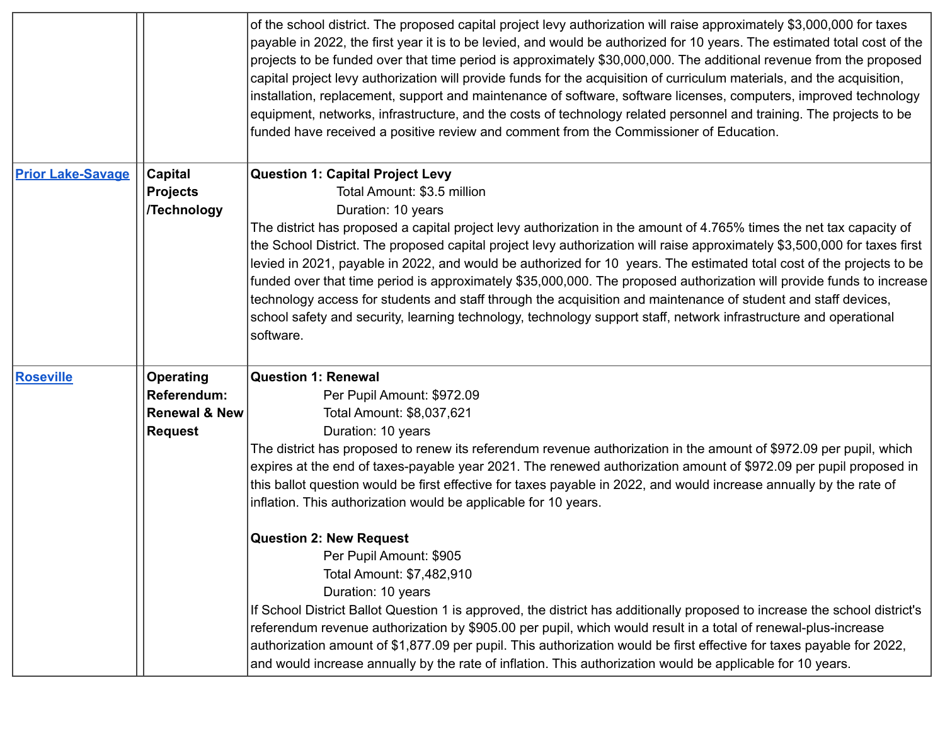|                          |                                   | of the school district. The proposed capital project levy authorization will raise approximately \$3,000,000 for taxes<br>payable in 2022, the first year it is to be levied, and would be authorized for 10 years. The estimated total cost of the<br>projects to be funded over that time period is approximately \$30,000,000. The additional revenue from the proposed<br>capital project levy authorization will provide funds for the acquisition of curriculum materials, and the acquisition,<br>installation, replacement, support and maintenance of software, software licenses, computers, improved technology<br>equipment, networks, infrastructure, and the costs of technology related personnel and training. The projects to be<br>funded have received a positive review and comment from the Commissioner of Education. |
|--------------------------|-----------------------------------|---------------------------------------------------------------------------------------------------------------------------------------------------------------------------------------------------------------------------------------------------------------------------------------------------------------------------------------------------------------------------------------------------------------------------------------------------------------------------------------------------------------------------------------------------------------------------------------------------------------------------------------------------------------------------------------------------------------------------------------------------------------------------------------------------------------------------------------------|
| <b>Prior Lake-Savage</b> | <b>Capital</b><br><b>Projects</b> | <b>Question 1: Capital Project Levy</b><br>Total Amount: \$3.5 million                                                                                                                                                                                                                                                                                                                                                                                                                                                                                                                                                                                                                                                                                                                                                                      |
|                          | <b>/Technology</b>                | Duration: 10 years                                                                                                                                                                                                                                                                                                                                                                                                                                                                                                                                                                                                                                                                                                                                                                                                                          |
|                          |                                   | The district has proposed a capital project levy authorization in the amount of 4.765% times the net tax capacity of<br>the School District. The proposed capital project levy authorization will raise approximately \$3,500,000 for taxes first<br>levied in 2021, payable in 2022, and would be authorized for 10 years. The estimated total cost of the projects to be<br>funded over that time period is approximately \$35,000,000. The proposed authorization will provide funds to increase<br>technology access for students and staff through the acquisition and maintenance of student and staff devices,<br>school safety and security, learning technology, technology support staff, network infrastructure and operational<br>software.                                                                                     |
| <b>Roseville</b>         | Operating                         | <b>Question 1: Renewal</b>                                                                                                                                                                                                                                                                                                                                                                                                                                                                                                                                                                                                                                                                                                                                                                                                                  |
|                          | <b>Referendum:</b>                | Per Pupil Amount: \$972.09                                                                                                                                                                                                                                                                                                                                                                                                                                                                                                                                                                                                                                                                                                                                                                                                                  |
|                          | <b>Renewal &amp; New</b>          | Total Amount: \$8,037,621                                                                                                                                                                                                                                                                                                                                                                                                                                                                                                                                                                                                                                                                                                                                                                                                                   |
|                          | <b>Request</b>                    | Duration: 10 years                                                                                                                                                                                                                                                                                                                                                                                                                                                                                                                                                                                                                                                                                                                                                                                                                          |
|                          |                                   | The district has proposed to renew its referendum revenue authorization in the amount of \$972.09 per pupil, which                                                                                                                                                                                                                                                                                                                                                                                                                                                                                                                                                                                                                                                                                                                          |
|                          |                                   | expires at the end of taxes-payable year 2021. The renewed authorization amount of \$972.09 per pupil proposed in                                                                                                                                                                                                                                                                                                                                                                                                                                                                                                                                                                                                                                                                                                                           |
|                          |                                   | this ballot question would be first effective for taxes payable in 2022, and would increase annually by the rate of                                                                                                                                                                                                                                                                                                                                                                                                                                                                                                                                                                                                                                                                                                                         |
|                          |                                   | inflation. This authorization would be applicable for 10 years.                                                                                                                                                                                                                                                                                                                                                                                                                                                                                                                                                                                                                                                                                                                                                                             |
|                          |                                   | <b>Question 2: New Request</b>                                                                                                                                                                                                                                                                                                                                                                                                                                                                                                                                                                                                                                                                                                                                                                                                              |
|                          |                                   | Per Pupil Amount: \$905                                                                                                                                                                                                                                                                                                                                                                                                                                                                                                                                                                                                                                                                                                                                                                                                                     |
|                          |                                   | Total Amount: \$7,482,910                                                                                                                                                                                                                                                                                                                                                                                                                                                                                                                                                                                                                                                                                                                                                                                                                   |
|                          |                                   | Duration: 10 years                                                                                                                                                                                                                                                                                                                                                                                                                                                                                                                                                                                                                                                                                                                                                                                                                          |
|                          |                                   | If School District Ballot Question 1 is approved, the district has additionally proposed to increase the school district's                                                                                                                                                                                                                                                                                                                                                                                                                                                                                                                                                                                                                                                                                                                  |
|                          |                                   | referendum revenue authorization by \$905.00 per pupil, which would result in a total of renewal-plus-increase                                                                                                                                                                                                                                                                                                                                                                                                                                                                                                                                                                                                                                                                                                                              |
|                          |                                   | authorization amount of \$1,877.09 per pupil. This authorization would be first effective for taxes payable for 2022,                                                                                                                                                                                                                                                                                                                                                                                                                                                                                                                                                                                                                                                                                                                       |
|                          |                                   | and would increase annually by the rate of inflation. This authorization would be applicable for 10 years.                                                                                                                                                                                                                                                                                                                                                                                                                                                                                                                                                                                                                                                                                                                                  |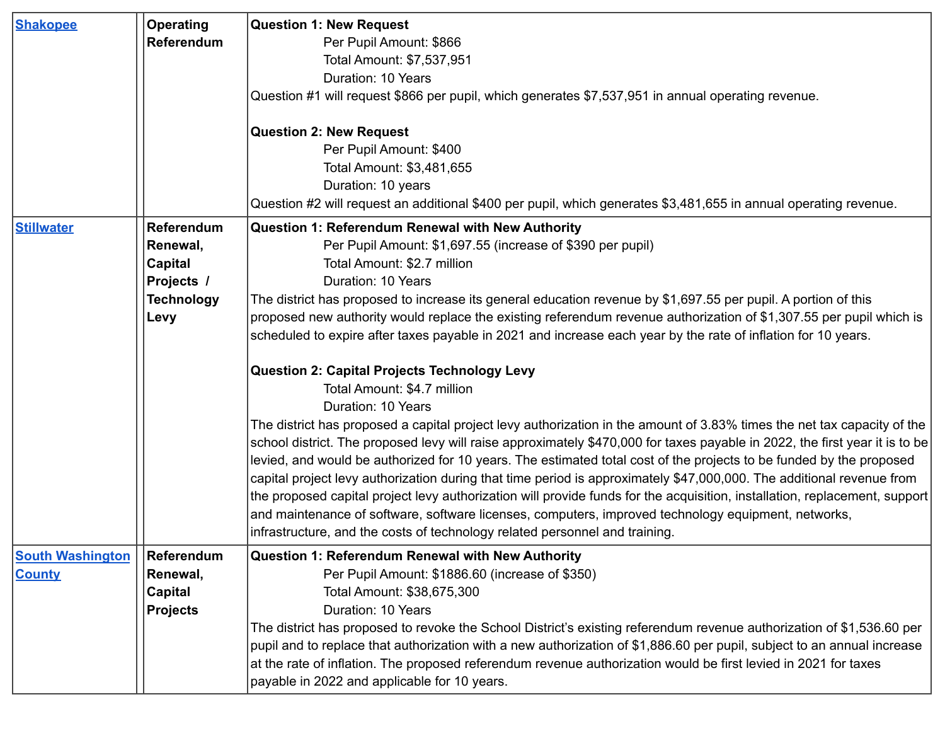| <b>Shakopee</b>                          | <b>Operating</b><br><b>Referendum</b>                                                      | <b>Question 1: New Request</b><br>Per Pupil Amount: \$866<br>Total Amount: \$7,537,951<br>Duration: 10 Years<br>Question #1 will request \$866 per pupil, which generates \$7,537,951 in annual operating revenue.<br><b>Question 2: New Request</b><br>Per Pupil Amount: \$400<br>Total Amount: \$3,481,655                                                                                                                                                                                                                                                                                                                                                                                                                                                                                                                                                                                                                                                                                                                                                                                                                                                                                                                                                                                                                                                                                                                                                                    |
|------------------------------------------|--------------------------------------------------------------------------------------------|---------------------------------------------------------------------------------------------------------------------------------------------------------------------------------------------------------------------------------------------------------------------------------------------------------------------------------------------------------------------------------------------------------------------------------------------------------------------------------------------------------------------------------------------------------------------------------------------------------------------------------------------------------------------------------------------------------------------------------------------------------------------------------------------------------------------------------------------------------------------------------------------------------------------------------------------------------------------------------------------------------------------------------------------------------------------------------------------------------------------------------------------------------------------------------------------------------------------------------------------------------------------------------------------------------------------------------------------------------------------------------------------------------------------------------------------------------------------------------|
|                                          |                                                                                            | Duration: 10 years<br>Question #2 will request an additional \$400 per pupil, which generates \$3,481,655 in annual operating revenue.                                                                                                                                                                                                                                                                                                                                                                                                                                                                                                                                                                                                                                                                                                                                                                                                                                                                                                                                                                                                                                                                                                                                                                                                                                                                                                                                          |
| <b>Stillwater</b>                        | <b>Referendum</b><br>Renewal,<br><b>Capital</b><br>Projects /<br><b>Technology</b><br>Levy | <b>Question 1: Referendum Renewal with New Authority</b><br>Per Pupil Amount: \$1,697.55 (increase of \$390 per pupil)<br>Total Amount: \$2.7 million<br>Duration: 10 Years<br>The district has proposed to increase its general education revenue by \$1,697.55 per pupil. A portion of this<br>proposed new authority would replace the existing referendum revenue authorization of \$1,307.55 per pupil which is<br>scheduled to expire after taxes payable in 2021 and increase each year by the rate of inflation for 10 years.<br><b>Question 2: Capital Projects Technology Levy</b><br>Total Amount: \$4.7 million<br>Duration: 10 Years<br>The district has proposed a capital project levy authorization in the amount of 3.83% times the net tax capacity of the<br>school district. The proposed levy will raise approximately \$470,000 for taxes payable in 2022, the first year it is to be<br>levied, and would be authorized for 10 years. The estimated total cost of the projects to be funded by the proposed<br>capital project levy authorization during that time period is approximately \$47,000,000. The additional revenue from<br>the proposed capital project levy authorization will provide funds for the acquisition, installation, replacement, support<br>and maintenance of software, software licenses, computers, improved technology equipment, networks,<br>infrastructure, and the costs of technology related personnel and training. |
| <b>South Washington</b><br><b>County</b> | <b>Referendum</b><br>Renewal,<br>Capital<br><b>Projects</b>                                | <b>Question 1: Referendum Renewal with New Authority</b><br>Per Pupil Amount: \$1886.60 (increase of \$350)<br>Total Amount: \$38,675,300<br>Duration: 10 Years<br>The district has proposed to revoke the School District's existing referendum revenue authorization of \$1,536.60 per<br>pupil and to replace that authorization with a new authorization of \$1,886.60 per pupil, subject to an annual increase<br>at the rate of inflation. The proposed referendum revenue authorization would be first levied in 2021 for taxes<br>payable in 2022 and applicable for 10 years.                                                                                                                                                                                                                                                                                                                                                                                                                                                                                                                                                                                                                                                                                                                                                                                                                                                                                          |